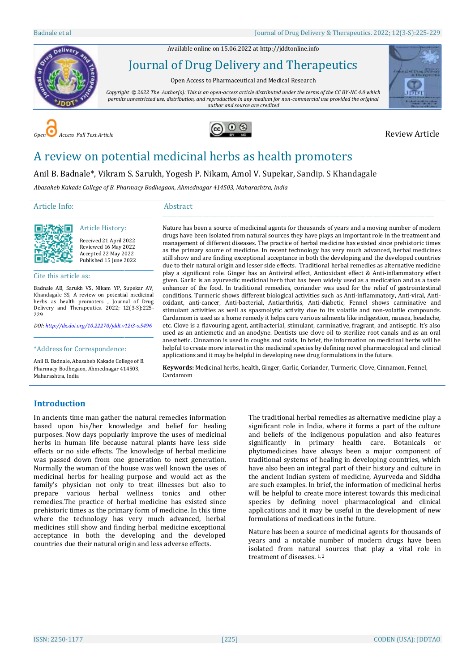Available online on 15.06.2022 a[t http://jddtonline.info](http://jddtonline.info/)



# Journal of Drug Delivery and Therapeutics

Open Access to Pharmaceutical and Medical Research

*Copyright © 2022 The Author(s): This is an open-access article distributed under the terms of the CC BY-NC 4.0 which permits unrestricted use, distribution, and reproduction in any medium for non-commercial use provided the original author and source are credited*







# A review on potential medicinal herbs as health promoters

Anil B. Badnale\*, Vikram S. Sarukh, Yogesh P. Nikam, Amol V. Supekar, Sandip. S Khandagale

*Abasaheb Kakade College of B. Pharmacy Bodhegaon, Ahmednagar 414503, Maharashtra, India*

# Article Info:

#### Abstract



Received 21 April 2022 Reviewed 16 May 2022 Accepted 22 May 2022 Published 15 June 2022

Cite this article as:

Badnale AB, Sarukh VS, Nikam YP, Supekar AV, Khandagale SS, A review on potential medicinal herbs as health promoters , Journal of Drug Delivery and Therapeutics. 2022; 12(3-S):225- 229

\_\_\_\_\_\_\_\_\_\_\_\_\_\_\_\_\_\_\_\_\_\_\_\_\_\_\_\_\_\_\_\_\_\_\_\_\_\_\_\_\_\_\_\_\_ Article History:

*DOI[: http://dx.doi.org/10.22270/jddt.v12i3-s.5496](http://dx.doi.org/10.22270/jddt.v12i3-s.5496)* \_\_\_\_\_\_\_\_\_\_\_\_\_\_\_\_\_\_\_\_\_\_\_\_\_\_\_\_\_\_\_\_\_\_\_\_\_\_\_\_\_\_\_\_\_

\*Address for Correspondence:

Anil B. Badnale, Abasaheb Kakade College of B. Pharmacy Bodhegaon, Ahmednagar 414503, Maharashtra, India

Nature has been a source of medicinal agents for thousands of years and a moving number of modern drugs have been isolated from natural sources they have plays an important role in the treatment and management of different diseases. The practice of herbal medicine has existed since prehistoric times as the primary source of medicine. In recent technology has very much advanced, herbal medicines still show and are finding exceptional acceptance in both the developing and the developed countries due to their natural origin and lesser side effects. Traditional herbal remedies as alternative medicine play a significant role. Ginger has an Antiviral effect, Antioxidant effect & Anti-inflammatory effect given. Garlic is an ayurvedic medicinal herb that has been widely used as a medication and as a taste enhancer of the food. In traditional remedies, coriander was used for the relief of gastrointestinal conditions. Turmeric shows different biological activities such as Anti-inflammatory, Anti-viral, Antioxidant, anti-cancer, Anti-bacterial, Antiarthritis, Anti-diabetic, Fennel shows carminative and stimulant activities as well as spasmolytic activity due to its volatile and non-volatile compounds. Cardamom is used as a home remedy it helps cure various ailments like indigestion, nausea, headache, etc. Clove is a flavouring agent, antibacterial, stimulant, carminative, fragrant, and antiseptic. It's also used as an antiemetic and an anodyne. Dentists use clove oil to sterilize root canals and as an oral anesthetic. Cinnamon is used in coughs and colds, In brief, the information on medicinal herbs will be helpful to create more interest in this medicinal species by defining novel pharmacological and clinical applications and it may be helpful in developing new drug formulations in the future.

\_\_\_\_\_\_\_\_\_\_\_\_\_\_\_\_\_\_\_\_\_\_\_\_\_\_\_\_\_\_\_\_\_\_\_\_\_\_\_\_\_\_\_\_\_\_\_\_\_\_\_\_\_\_\_\_\_\_\_\_\_\_\_\_\_\_\_\_\_\_\_\_\_\_\_\_\_\_\_\_\_\_\_\_\_\_\_\_\_\_\_\_\_\_\_\_\_\_\_\_\_\_\_\_\_\_\_\_\_\_\_\_\_\_\_

**Keywords:** Medicinal herbs, health[, Ginger,](https://foodfacts.mercola.com/ginger.html) Garlic, Coriander, Turmeric, Clove, Cinnamon, Fennel, Cardamom

## **Introduction**

In ancients time man gather the natural remedies information based upon his/her knowledge and belief for healing purposes. Now days popularly improve the uses of medicinal herbs in human life because natural plants have less side effects or no side effects. The knowledge of herbal medicine was passed down from one generation to next generation. Normally the woman of the house was well known the uses of medicinal herbs for healing purpose and would act as the family's physician not only to treat illnesses but also to prepare various herbal wellness tonics and other remedies.The practice of herbal medicine has existed since prehistoric times as the primary form of medicine. In this time where the technology has very much advanced, herbal medicines still show and finding herbal medicine exceptional acceptance in both the developing and the developed countries due their natural origin and less adverse effects.

The traditional herbal remedies as alternative medicine play a significant role in India, where it forms a part of the culture and beliefs of the indigenous population and also features significantly in primary health care. Botanicals or phytomedicines have always been a major component of traditional systems of healing in developing countries, which have also been an integral part of their history and culture in the ancient Indian system of medicine, Ayurveda and Siddha are such examples. In brief, the information of medicinal herbs will be helpful to create more interest towards this medicinal species by defining novel pharmacological and clinical applications and it may be useful in the development of new formulations of medications in the future.

Nature has been a source of medicinal agents for thousands of years and a notable number of modern drugs have been isolated from natural sources that play a vital role in treatment of diseases. 1, 2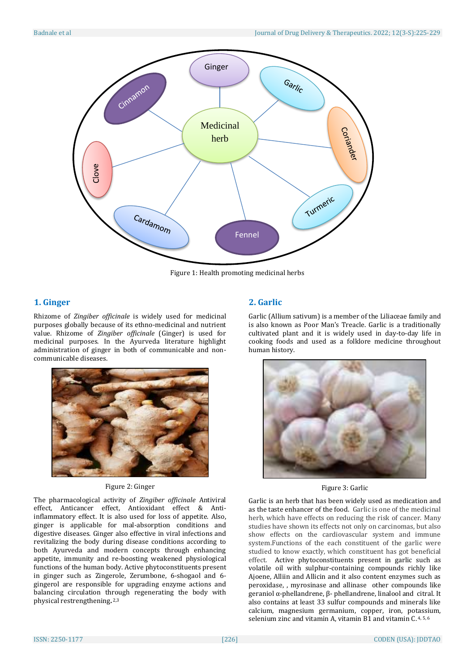

Figure 1: Health promoting medicinal herbs

# **1. [Ginger](https://foodfacts.mercola.com/ginger.html)**

Rhizome of *Zingiber officinale* is widely used for medicinal purposes globally because of its ethno-medicinal and nutrient value. Rhizome of *Zingiber officinale* (Ginger) is used for medicinal purposes. In the Ayurveda literature highlight administration of ginger in both of communicable and noncommunicable diseases.



## Figure 2: Ginger

The pharmacological activity of *Zingiber officinale* Antiviral effect, Anticancer effect, Antioxidant effect & Antiinflammatory effect. It is also used for loss of appetite. Also, ginger is applicable for mal-absorption conditions and digestive diseases. Ginger also effective in viral infections and revitalizing the body during disease conditions according to both Ayurveda and modern concepts through enhancing appetite, immunity and re-boosting weakened physiological functions of the human body. Active phytoconstituents present in ginger such as Zingerole, Zerumbone, 6-shogaol and 6 gingerol are responsible for upgrading enzyme actions and balancing circulation through regenerating the body with physical restrengthening**.** 2,3

## **2. [Garlic](https://foodfacts.mercola.com/garlic.html)**

Garlic (Allium sativum) is a member of the Liliaceae family and is also known as Poor Man's Treacle. Garlic is a traditionally cultivated plant and it is widely used in day-to-day life in cooking foods and used as a folklore medicine throughout human history.



Figure 3: Garlic

Garlic is an herb that has been widely used as medication and as the taste enhancer of the food. Garlic is one of the medicinal herb, which have effects on reducing the risk of cancer. Many studies have shown its effects not only on carcinomas, but also show effects on the cardiovascular system and immune system.Functions of the each constituent of the garlic were studied to know exactly, which constituent has got beneficial effect. Active phytoconstituents present in garlic such as volatile oil with sulphur-containing compounds richly like Ajoene, Alliin and Allicin and it also content enzymes such as peroxidase, , myrosinase and allinase other compounds like geraniol α-phellandrene, β- phellandrene, linalool and citral. It also contains at least 33 sulfur compounds and minerals like calcium, magnesium germanium, copper, iron, potassium, selenium zinc and vitamin A, vitamin B1 and vitamin C.<sup>4,5,6</sup>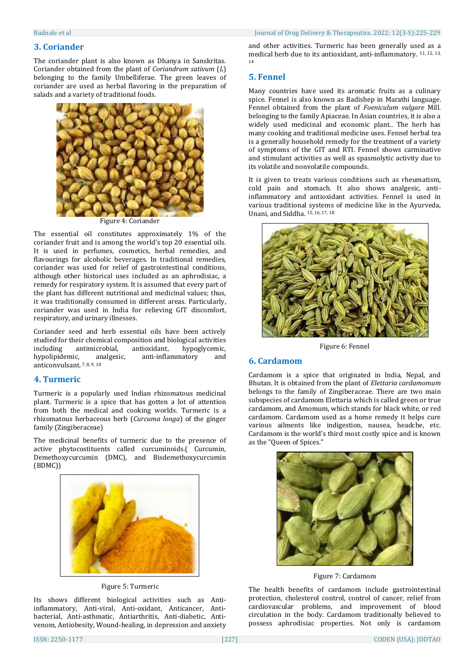### **3. Coriander**

The coriander plant is also known as Dhanya in Sanskritas. Coriander obtained from the plant of *Coriandrum sativum* (*L*) belonging to the family Umbelliferae. The green leaves of coriander are used as herbal flavoring in the preparation of salads and a variety of traditional foods.



Figure 4: Coriander

The essential oil constitutes approximately 1% of the coriander fruit and is among the world's top 20 essential oils. It is used in perfumes, cosmetics, herbal remedies, and flavourings for alcoholic beverages. In traditional remedies, coriander was used for relief of gastrointestinal conditions, although other historical uses included as an aphrodisiac, a remedy for respiratory system. It is assumed that every part of the plant has different nutritional and medicinal values; thus, it was traditionally consumed in different areas. Particularly, coriander was used in India for relieving GIT discomfort, respiratory, and urinary illnesses.

Coriander seed and herb essential oils have been actively studied for their chemical composition and biological activities including antimicrobial, antioxidant, hypoglycemic, analgesic, anti-inflammatory and anticonvulsant. 7, 8, 9, 10

#### **4. Turmeric**

Turmeric is a popularly used Indian rhizomatous medicinal plant. Turmeric is a spice that has gotten a lot of attention from both the medical and cooking worlds. Turmeric is a rhizomatous herbaceous herb (*Curcuma longa*) of the ginger family (Zingiberaceae)

The medicinal benefits of turmeric due to the presence of active phytocostituents called curcuminoids.( Curcumin, Demethoxycurcumin (DMC), and Bisdemethoxycurcumin (BDMC))



Figure 5: Turmeric

Its shows different biological activities such as Antiinflammatory, Anti-viral, Anti-oxidant, Anticancer, Antibacterial, Anti-asthmatic, Antiarthritis, Anti-diabetic, Antivenom, Antiobesity, Wound-healing, in depression and anxiety

and other activities. Turmeric has been generally used as a medical herb due to its antioxidant, anti-inflammatory. 11, 12, 13, 14

#### **5. Fennel**

Many countries have used its aromatic fruits as a culinary spice. Fennel is also known as Badishep in Marathi language. Fennel obtained from the plant of *Foeniculum vulgare* Mill. belonging to the family Apiaceae. In Asian countries, it is also a widely used medicinal and economic plant.. The herb has many cooking and traditional medicine uses. Fennel herbal tea is a generally household remedy for the treatment of a variety of symptoms of the GIT and RTI. Fennel shows carminative and stimulant activities as well as spasmolytic activity due to its volatile and nonvolatile compounds.

It is given to treats various conditions such as rheumatism, cold pain and stomach. It also shows analgesic, antiinflammatory and antioxidant activities. Fennel is used in various traditional systems of medicine like in the Ayurveda, Unani, and Siddha. 15, 16, 17, 18



Figure 6: Fennel

## **6. Cardamom**

Cardamom is a spice that originated in India, Nepal, and Bhutan. It is obtained from the plant of *Elettaria cardamomum* belongs to the family of Zingiberaceae. There are two main subspecies of cardamom Elettaria which is called green or true cardamom, and Amomum, which stands for black white, or red cardamom. Cardamom used as a home remedy it helps cure various ailments like indigestion, nausea, headche, etc. Cardamom is the world's third most costly spice and is known as the "Queen of Spices."



Figure 7: Cardamom

The health benefits of cardamom include gastrointestinal protection, cholesterol control, control of cancer, relief from cardiovascular problems, and improvement of blood circulation in the body. Cardamom traditionally believed to possess aphrodisiac properties. Not only is cardamom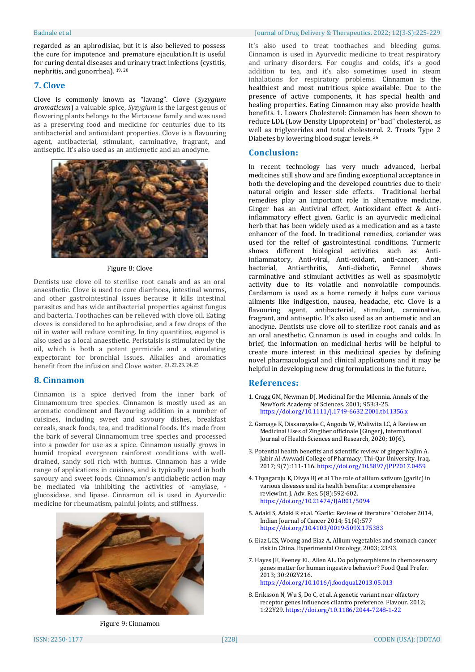regarded as an aphrodisiac, but it is also believed to possess the cure for impotence and premature ejaculation.It is useful for curing dental diseases and urinary tract infections (cystitis, nephritis, and gonorrhea). 19, 20

#### **7. Clove**

Clove is commonly known as "lavang". Clove (*Syzygium aromaticum*) a valuable spice, *Syzygium* is the largest genus of flowering plants belongs to the Mirtaceae family and was used as a preserving food and medicine for centuries due to its antibacterial and antioxidant properties. Clove is a flavouring agent, antibacterial, stimulant, carminative, fragrant, and antiseptic. It's also used as an antiemetic and an anodyne.



#### Figure 8: Clove

Dentists use clove oil to sterilise root canals and as an oral anaesthetic. Clove is used to cure diarrhoea, intestinal worms, and other gastrointestinal issues because it kills intestinal parasites and has wide antibacterial properties against fungus and bacteria. Toothaches can be relieved with clove oil. Eating cloves is considered to be aphrodisiac, and a few drops of the oil in water will reduce vomiting. In tiny quantities, eugenol is also used as a local anaesthetic. Peristalsis is stimulated by the oil, which is both a potent germicide and a stimulating expectorant for bronchial issues. Alkalies and aromatics benefit from the infusion and Clove water. 21, 22, 23, 24, 25

#### **8. Cinnamon**

Cinnamon is a spice derived from the inner bark of Cinnamomum tree species. Cinnamon is mostly used as an aromatic condiment and flavouring addition in a number of cuisines, including sweet and savoury dishes, breakfast cereals, snack foods, tea, and traditional foods. It's made from the bark of several Cinnamomum tree species and processed into a powder for use as a spice. Cinnamon usually grows in humid tropical evergreen rainforest conditions with welldrained, sandy soil rich with humus. Cinnamon has a wide range of applications in cuisines, and is typically used in both savoury and sweet foods. Cinnamon's antidiabetic action may be mediated via inhibiting the activities of -amylase, glucosidase, and lipase. Cinnamon oil is used in Ayurvedic medicine for rheumatism, painful joints, and stiffness.



### Figure 9: Cinnamon

It's also used to treat toothaches and bleeding gums. Cinnamon is used in Ayurvedic medicine to treat respiratory and urinary disorders. For coughs and colds, it's a good addition to tea, and it's also sometimes used in steam inhalations for respiratory problems. Cinnamon is the healthiest and most nutritious spice available. Due to the presence of active components, it has special health and healing properties. Eating Cinnamon may also provide health benefits. 1. Lowers Cholesterol: Cinnamon has been shown to reduce LDL (Low Density Lipoprotein) or "bad" cholesterol, as well as triglycerides and total cholesterol. 2. Treats Type 2 Diabetes by lowering blood sugar levels. <sup>26</sup>

### **Conclusion:**

In recent technology has very much advanced, herbal medicines still show and are finding exceptional acceptance in both the developing and the developed countries due to their natural origin and lesser side effects. Traditional herbal remedies play an important role in alternative medicine. Ginger has an Antiviral effect, Antioxidant effect & Antiinflammatory effect given. Garlic is an ayurvedic medicinal herb that has been widely used as a medication and as a taste enhancer of the food. In traditional remedies, coriander was used for the relief of gastrointestinal conditions. Turmeric shows different biological activities such as Antiinflammatory, Anti-viral, Anti-oxidant, anti-cancer, Antibacterial, Antiarthritis, Anti-diabetic, Fennel shows carminative and stimulant activities as well as spasmolytic activity due to its volatile and nonvolatile compounds. Cardamom is used as a home remedy it helps cure various ailments like indigestion, nausea, headache, etc. Clove is a flavouring agent, antibacterial, stimulant, carminative, fragrant, and antiseptic. It's also used as an antiemetic and an anodyne. Dentists use clove oil to sterilize root canals and as an oral anesthetic. Cinnamon is used in coughs and colds, In brief, the information on medicinal herbs will be helpful to create more interest in this medicinal species by defining novel pharmacological and clinical applications and it may be helpful in developing new drug formulations in the future.

#### **References:**

- 1. Cragg GM, Newman DJ. Medicinal for the Milennia. Annals of the NewYork Academy of Sciences. 2001; 953:3-25. <https://doi.org/10.1111/j.1749-6632.2001.tb11356.x>
- 2. Gamage K, Dissanayake C, Angoda W, Waliwita LC, A Review on Medicinal Uses of Zingiber officinale (Ginger), International Journal of Health Sciences and Research, 2020; 10(6).
- 3. Potential health benefits and scientific review of ginger Najim A. Jabir Al-Awwadi College of Pharmacy, Thi-Qar University, Iraq. 2017; 9(7):111-116[. https://doi.org/10.5897/JPP2017.0459](https://doi.org/10.5897/JPP2017.0459)
- 4. Thyagaraju K, Divya BJ et al The role of allium sativum (garlic) in various diseases and its health benefits: a comprehensive reviewInt. J. Adv. Res. 5(8):592-602. <https://doi.org/10.21474/IJAR01/5094>
- 5. Adaki S, Adaki R et.al. "Garlic: Review of literature" October 2014, Indian Journal of Cancer 2014; 51(4):577 <https://doi.org/10.4103/0019-509X.175383>
- 6. Eiaz LCS, Woong and Eiaz A, Allium vegetables and stomach cancer risk in China. Experimental Oncology, 2003; 23:93.
- 7. Hayes JE, Feeney EL, Allen AL. Do polymorphisms in chemosensory genes matter for human ingestive behavior? Food Qual Prefer. 2013; 30:202Y216. <https://doi.org/10.1016/j.foodqual.2013.05.013>
- 8. Eriksson N, Wu S, Do C, et al. A genetic variant near olfactory receptor genes influences cilantro preference. Flavour. 2012; 1:22Y29[. https://doi.org/10.1186/2044-7248-1-22](https://doi.org/10.1186/2044-7248-1-22)